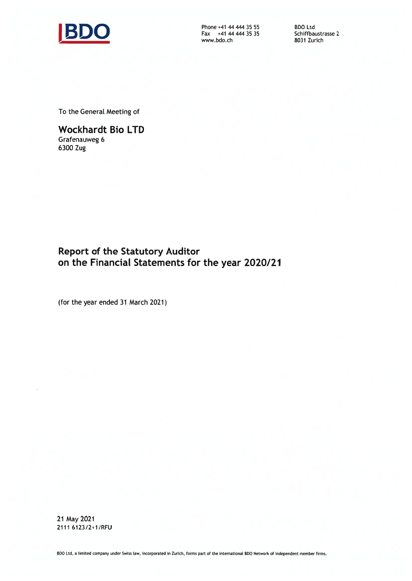

Phone +41 44 444 35 55 BDO Ltd<br>Fax +41 44 444 35 35 Schiffbaustrasse 2<br>www.bdo.ch 8031 Zurich

To the General Meeting of

Wockhardt Bio LTD Grafenauweg 6 6300 Zug

## Report of the Statutory Auditor on the Financial Statements for the year 2020/2 1

(for the year ended 31 March 2021)

21 May 2021 2111 6123/2+1/RFU

BDO Ltd, a limited company under Swiss law, incorporated in Zurich, forms part of the international BDO Network of independent member firms.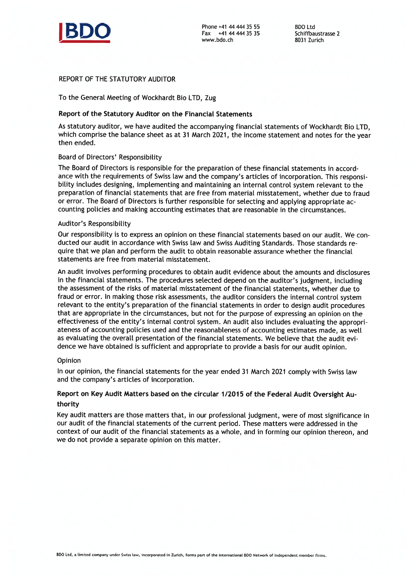

Phone +41 44 444 35 55 BDO Ltd<br>Fax +41 44 444 35 35 Schiffbaustrasse 2<br>www.bdo.ch 8031 Zurich www.bdo.ch 8031 Zurich

## REPORT OF THE STATUTORY AUDITOR

To the General Meeting of Wockhardt Bio LTD, Zug

## Report of the Statutory Auditor on the Financial Statements

As statutory auditor, we have audited the accompanying financial statements of Wockhardt Bio LTD, which comprise the balance sheet as at 31 March 2021, the income statement and notes for the year then ended.

## Board of Directors' Responsibility

The Board of Directors is responsible for the preparation of these financial statements in accordance with the requirements of Swiss Law and the company's articles of incorporation. This respons<sup>i</sup> bility includes designing, implementing and maintaining an internal control system relevant to the preparation of financial statements that are free from material misstatement, whether due to fraud or error. The Board of Directors is further responsible for selecting and applying appropriate accounting policies and making accounting estimates that are reasonable in the circumstances.

## Auditor's Responsibility

Our responsibility is to express an opinion on these financiat statements based on our audit. We con ducted our audit in accordance with Swiss law and Swiss Auditing Standards. Those standards re quire that we plan and perform the audit to obtain reasonable assurance whether the financiaL statements are free from material misstatement.

An audit involves performing procedures to obtain audit evidence about the amounts and disclosures in the financial statements. The procedures selected depend on the auditor's judgment, including the assessment of the risks of material misstatement of the financial statements, whether due to fraud or error. In making those risk assessments, the auditor considers the internal control system relevant to the entity's preparation of the financial statements in order to design audit procedures that are appropriate in the circumstances, but not for the purpose of expressing an opinion on the effectiveness of the entity's internal control system. An audit also includes evaluating the appropriateness of accounting policies used and the reasonableness of accounting estimates made, as well as evaluating the overall presentation of the financial statements. We believe that the audit evidence we have obtained is sufficient and appropriate to provide <sup>a</sup> basis for our audit opinion.

## Opinion

In our opinion, the financial statements for the year ended <sup>31</sup> March <sup>2021</sup> compty with Swiss Law and the company's articles of incorporation.

## Report on Key Audit Matters based on the circular 1/2015 of the Federal Audit Oversight Authority

Key audit matters are those matters that, in our professional judgment, were of most significance in our audit of the financial statements of the current period. These matters were addressed in the context of our audit of the financial statements as a whole, and in forming our opinion thereon, and we do not provide <sup>a</sup> separate opinion on this matter.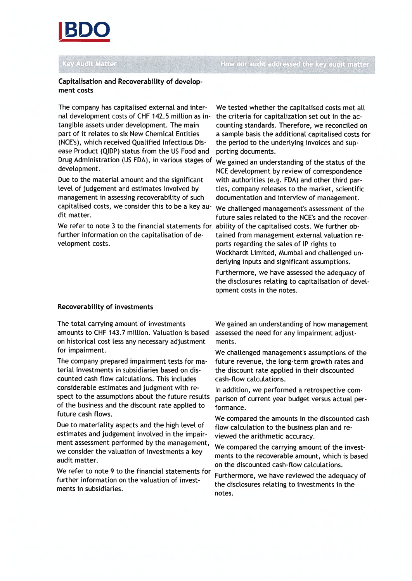# **Key Audit Matter**

How our audit addressed the key audit matter

## Capitalisation and Recoverability of development costs

The company has capitalised external and internal development costs of CHF 142.5 million as intangible assets under development. The main part of it relates to six New Chemical Entities (NCE's), which received Qualified Infectious Disease Product (QIDP) status from the US Food and Drug Administration (US FDA), in various stages of development.

Due to the material amount and the significant level of judgement and estimates involved by management in assessing recoverability of such capitalised costs, we consider this to be a key audit matter.

We refer to note 3 to the financial statements for ability of the capitalised costs. We further obfurther information on the capitalisation of development costs.

We tested whether the capitalised costs met all the criteria for capitalization set out in the accounting standards. Therefore, we reconciled on a sample basis the additional capitalised costs for the period to the underlying invoices and supporting documents.

We gained an understanding of the status of the NCE development by review of correspondence with authorities (e.g. FDA) and other third parties, company releases to the market, scientific documentation and interview of management.

We challenged management's assessment of the future sales related to the NCE's and the recovertained from management external valuation reports regarding the sales of IP rights to Wockhardt Limited, Mumbai and challenged underlying inputs and significant assumptions.

Furthermore, we have assessed the adequacy of the disclosures relating to capitalisation of development costs in the notes.

## **Recoverability of investments**

The total carrying amount of investments amounts to CHF 143.7 million. Valuation is based on historical cost less any necessary adjustment for impairment.

The company prepared impairment tests for material investments in subsidiaries based on discounted cash flow calculations. This includes considerable estimates and judgment with respect to the assumptions about the future results of the business and the discount rate applied to future cash flows.

Due to materiality aspects and the high level of estimates and judgement involved in the impairment assessment performed by the management, we consider the valuation of investments a key audit matter.

We refer to note 9 to the financial statements for further information on the valuation of investments in subsidiaries.

We gained an understanding of how management assessed the need for any impairment adjustments.

We challenged management's assumptions of the future revenue, the long-term growth rates and the discount rate applied in their discounted cash-flow calculations.

In addition, we performed a retrospective comparison of current year budget versus actual performance.

We compared the amounts in the discounted cash flow calculation to the business plan and reviewed the arithmetic accuracy.

We compared the carrying amount of the investments to the recoverable amount, which is based on the discounted cash-flow calculations.

Furthermore, we have reviewed the adequacy of the disclosures relating to investments in the notes.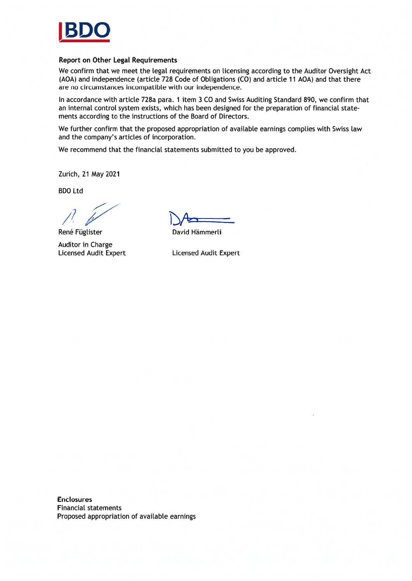

## Report on Other Legal Requirements

We confirm that we meet the legal requirements on licensing according to the Auditor Oversight Act (AOA) and independence (article 728 Code of Obligations (CO) and article 11 AOA) and that there are no circumstances incompatible with our independence.

In accordance with article 728a para. 1 item 3 CO and Swiss Auditing Standard 890, we confirm that an internal control system exists, which has been designed for the preparation of financial statements according to the instructions of the Board of Directors.

We further confirm that the proposed appropriation of available earnings complies with Swiss law and the company's articies of incorporation.

We recommend that the financial statements submitted to you be approved.

Zurich, 21 May 2021

BDO Ltd

/ ! /

Ren Füg[ister Auditor in Charge Licensed Audit Expert Licensed Audit Expert

David Hämmerli

**Enclosures** FinanciaL statements Proposed appropriation of available earnings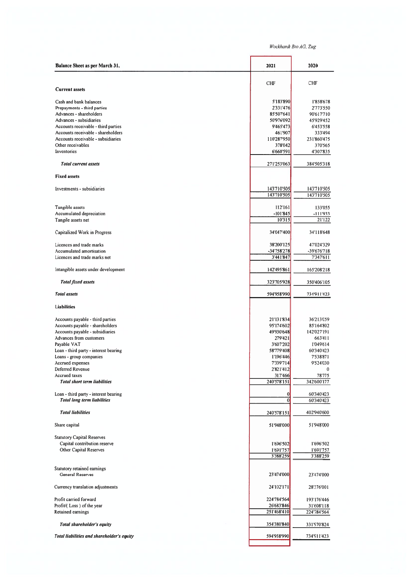Wockhardi Bio AG, Zug

| Balance Sheet as per March 31,             | 2021                       | 2020                       |
|--------------------------------------------|----------------------------|----------------------------|
| <b>Current assets</b>                      | CHF                        | <b>CHF</b>                 |
|                                            |                            |                            |
| Cash and bank balances                     | 5'183'890                  | 1'858'678                  |
| Prepayments - third parties                | 2'331'476                  | 2'773'550                  |
| Advances - shareholders                    | 85'507'641                 | 90'617'710                 |
| Advances - subsidiaries                    | 50'976'092                 | 45'929'452                 |
| Accounts receivable - third parties        | 9'465'473                  | 6'453'558                  |
| Accounts receivable - shareholders         | 461'907                    | 333'494                    |
| Accounts receivable - subsidiaries         | 110'287'950                | 231'860'475                |
| Other receivables<br>Inventories           | 378'042<br>6'660'591       | 370'565<br>4'307'835       |
|                                            |                            |                            |
| <b>Total current assets</b>                | 271'253'063                | 384'505'318                |
| <b>Fixed assets</b>                        |                            |                            |
| Investments - subsidiaries                 | 143'710'505<br>143'710'505 | 143'710'505<br>143'710'505 |
|                                            |                            |                            |
| Tangible assets                            | 112'161                    | 133'055                    |
| Accumulated depreciation                   | $-101'845$                 | $-111'933$                 |
| Tangile assets net                         | 10'315                     | 21'122                     |
| Capitalized Work in Progress               | 34'047'400                 | 34'118'648                 |
| Licences and trade marks                   | 38'200'125                 | 47'024'329                 |
| Accumulated amortisation                   | -34'758'278                | -39'676'718                |
| Licences and trade marks net               | 3'441'847                  | 7'347'611                  |
| Intangible assets under development        | 142'495'861                | 165'208'218                |
| <b>Total fixed assets</b>                  | 323'705'928                | 350'406'105                |
| <b>Total assets</b>                        | 594'958'990                | 734'911'423                |
| <b>Liabilities</b>                         |                            |                            |
|                                            |                            |                            |
| Accounts payable - third parties           | 21'131'834                 | 36'213'059                 |
| Accounts payable - shareholders            | 95'174'602                 | 85'164'802                 |
| Accounts payable - subsidiaries            | 49'930'648                 | 142'027'191                |
| Advances from customers                    | 279'421                    | 663'411                    |
| Payable VAT                                | 3'607'202                  | 1'049'614                  |
| Loan - third party - interest bearing      | 58'779'408                 | 60'340'423                 |
| Loans - group companies                    | 1'196'446                  | 7'538'871                  |
| Accrued expenses                           | 7'339'714                  | 9'524'030                  |
| Deferred Revenue<br>Accrued taxes          | 2'821'412                  | 0                          |
| <b>Total short term liabilities</b>        | 317'466<br>240'578'151     | 78'775<br>342'600'177      |
|                                            |                            |                            |
| Loan - third party - interest bearing      | 0                          | 60'340'423                 |
| <b>Total long term liabilities</b>         | $\bf{0}$                   | 60'340'423                 |
| <b>Total liabilities</b>                   | 240'578'151                | 402'940'600                |
| Share capital                              | 51'948'000                 | 51'948'000                 |
| <b>Statutory Capital Reserves</b>          |                            |                            |
| Capital contribution reserve               | 1'696'502                  | 1'696'502                  |
| Other Capital Reserves                     | 1'691'757                  | 1'691'757                  |
|                                            | 3'388'259                  | 3'388'259                  |
| Statutory retained earnings                |                            |                            |
| <b>General Reserves</b>                    | 23'474'000                 | 23'474'000                 |
| Currency translation adjustments           | 24'102'171                 | 28'376'001                 |
| Profit carried forward                     | 224'784'564                | 193'176'446                |
| Profit/(Loss) of the year                  | 26'683'846                 | 31'608'118                 |
| Retained earnings                          | 251'468'410                | 224'784'564                |
| Total shareholder's equity                 | 354'380'840                | 331'970'824                |
|                                            |                            |                            |
| Total liabilities and shareholder's equity | 594'958'990                | 734'911'423                |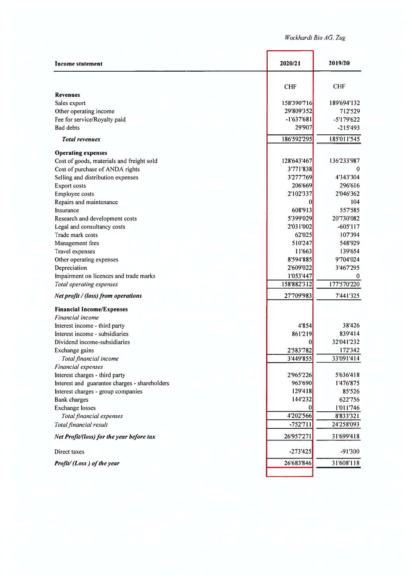Wockhardt Bio AG, Zug

| Income statement                              | 2020/21      | 2019/20      |
|-----------------------------------------------|--------------|--------------|
|                                               | <b>CHF</b>   | <b>CHF</b>   |
| Revenues                                      |              |              |
| Sales export                                  | 158'390'716  | 189'694'132  |
| Other operating income                        | 29'809'352   | 712'529      |
| Fee for service/Royalty paid                  | $-1'637'681$ | $-5'179'622$ |
| <b>Bad debts</b>                              | 29'907       | $-215'493$   |
| <b>Total revenues</b>                         | 186'592'295  | 185'011'545  |
| <b>Operating expenses</b>                     |              |              |
| Cost of goods, materials and freight sold     | 128'643'467  | 136'233'987  |
| Cost of purchase of ANDA rights               | 3'771'838    | $\theta$     |
| Selling and distribution expenses             | 3'277'769    | 4'343'304    |
| Export costs                                  | 206'669      | 296'616      |
| Employee costs                                | 2'102'337    | 2'046'362    |
| Repairs and maintenance                       | 0            | 104          |
| Insurance                                     | 608'913      | 557'585      |
| Research and development costs                | 5'399'029    | 20'730'082   |
| Legal and consultancy costs                   | 2'031'002    | $-605'117$   |
| Trade mark costs                              | 62'025       | 107'394      |
| Management fees                               | 510'247      | 548'929      |
| Travel expenses                               | 11'663       | 139'654      |
| Other operating expenses                      | 8'594'885    | 9'704'024    |
| Depreciation                                  | 2'609'022    | 3'467'295    |
| Impairment on licences and trade marks        | 1'053'447    | 0            |
| Total operating expenses                      | 158'882'312  | 177'570'220  |
| Net profit / (loss) from operations           | 27'709'983   | 7'441'325    |
| <b>Financial Income/Expenses</b>              |              |              |
| Financial income                              |              |              |
| Interest income - third party                 | 4'854        | 38'426       |
| Interest income - subsidiaries                | 861'219      | 839'414      |
| Dividend income-subsidiaries                  | 0            | 32'041'232   |
| Exchange gains                                | 2'583'782    | 172'342      |
| Total financial income                        | 3'449'855    | 33'091'414   |
| Financial expenses                            |              |              |
| Interest charges - third party                | 2'965'226    | 5'636'418    |
| Interest and guarantee charges - shareholders | 963'690      | 1'476'875    |
| Interest charges - group companies            | 129'418      | 85'526       |
| <b>Bank</b> charges                           | 144'232      | 622'756      |
| <b>Exchange losses</b>                        | 0            | 1'011'746    |
| Total financial expenses                      | 4'202'566    | 8'833'321    |
| Total financial result                        | $-752'711$   | 24'258'093   |
| Net Profit/(loss) for the year before tax     | 26'957'271   | 31'699'418   |
| Direct taxes                                  | $-273'425$   | -91'300      |
| Profit/(Loss) of the year                     | 26'683'846   | 31'608'118   |
|                                               |              |              |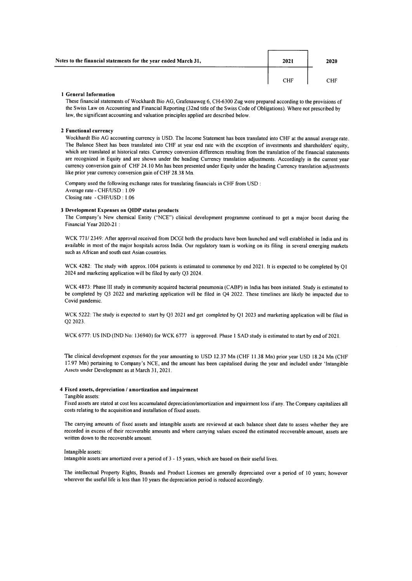| Notes to the financial statements for the year ended March 31, | 2021       | 2020       |
|----------------------------------------------------------------|------------|------------|
|                                                                | <b>CHF</b> | <b>CHF</b> |

#### 1 General Information

These financial statements of Wockhardt Bio AG, Grafenauweg 6, CH-6300 Zug were prepare<sup>d</sup> according to the provisions of the Swiss Law on Accounting and Financial Reporting (32nd title of the Swiss Code of Obligations). Where not prescribed by law, the significant accounting and valuation principles applied are described beiow.

#### 2 Functional currency

Wockhardt Bio AG accounting currency is USD. The Income Statement has been translated into CHF at the annual average rate. The Balance Sheet has been translated into CHF at year end rate with the exception of investments and shareholders' equity, which are translated at historical rates. Currency conversion differences resulting from the translation of the financial statements are recognized in Equity and are shown under the heading Currency translation adjustments. Accordingly in the current year currency conversion gain of CHF 24.10 Mn has been presented under Equity under the heading Currency translation adjustments like prior year currency conversion gain of CHF 28.38 Mn.

Company used the following exchange rates for translating financials in CHF from USD Average rate -CHF/USD: 1.09 Closing rate -CHF/USD: 1.06

#### 3 Development Expenses on QLDP status products

The Company's New chemical Entity ("NCE") clinical development programme continued to ge<sup>t</sup> <sup>a</sup> major boost during the Financial Year 2020-21:

WCK 771/2349: After approval received from DCGI both the products have been launched and weil established in india and its available in most of the major hospitals across India. Our regulatory team is working on its filing in several emerging markets such as African and south east Asian countries.

WCK 4282: The study with approx.1004 patients is estimated to commence by end 2021. It is expected to be completed by Q1 2024 and marketing application will be filed by early Q3 2024.

WCK 4873: Phase <sup>111</sup> study in community acquired bacterial pneumonia (CABP) in India has been initiated. Study is estimated to be completed by Q3 <sup>2022</sup> and marketing application will be filed in Q4 2022. These timelines arc likeiy be impacted due to Covid pandemic.

WCK 5222: The study is expected to start by Q3 <sup>2021</sup> and ge<sup>t</sup> completed by Ql <sup>2023</sup> and marketing application will be filed in Q2 2023.

WCK 6777: US IND (IND No: 136940) for WCK 6777 is approved. Phase 1 SAD study is estimated to start by end of 2021.

The clinicai deveiopment expenses for the year amounting to USD 12.37 Mn (CHF 11.38 Mn) prior year USD 18.24 Mn (CHF 17.97 Mn) pertaining to Company's NCE, and the amount has been capitalised during the year and included under 'Intangible Assets under Development as at March 3 1, 2021.

#### 4 Fixed assets, depreciation / amortization and impairment

#### Tangible assets:

Fixed assets are stated at cost less accumulated depreciation/amortization and impairment loss if any. The Company capitalizes all costs relating to the acquisition and installation of fixed assets.

The carrying amounts of fixed assets and intangible assets arc reviewed at each balance sheet date to assess whether they arc recorded in excess of their recoverable amounts and where carrying values exceed the estimated recoverable amount, assets arc written down to the recoverable amount.

#### Intangible assets:

Intangible assets arc amortized over <sup>a</sup> period of 3 - 15 years, which arc based on their useful lives.

The intellectual Property Rights, Brands and Product Licenses are generally depreciated over a period of 10 years; however wherever the useful life is less than 10 years the depreciation period is reduced accordingly.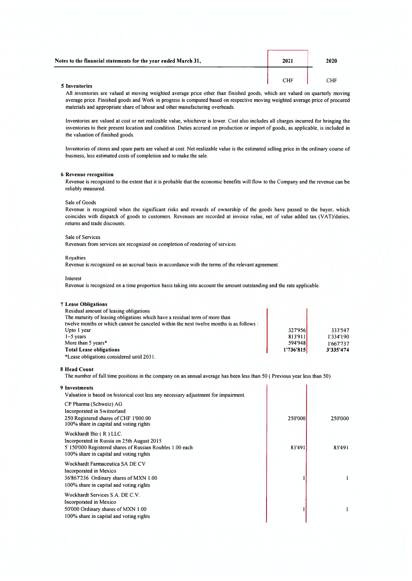| Notes to the financial statements for the year ended March 31, | 2021       | 2020       |
|----------------------------------------------------------------|------------|------------|
| 5 Inventories                                                  | <b>CHF</b> | <b>CHF</b> |

All inventories are valued at moving weighted average price other than finished goods, which are valued on quarterly moving average price. Finished goods and Work in progress is computed based on respective moving weighted average price of procured materials and appropriate share of labour and other manufacturing overheads.

Inventories are valued at cost or net realizable value, whichever is lower. Cost also includes all charges incurred for bringing the inventories to their present location and condition. Duties accrued on production or import of goods, as applicable, is included in the valuation of finished goods.

Inventories ofstores and spare parts are valued at cost. Net realizable value is the estimated selling price in the ordinary course of business, less estimated costs of completion and to make the sale.

#### 6 Revenue recognition

Revenue is recognized to the extent that it is probable that the economic benefits will flow to the Company and the revenue can be reliably measured.

#### Sale of Goods

Revenue is recognized when the significant risks and rewards of ownership of the goods have passed to the buyer, which coincides with dispatch of goods to customers. Revenues are recorded at invoice value, net of value added tax (VAT)/duties, returns and trade discounts.

#### Sale of Services

Revenues from services are recognized on completion of rendering of services.

#### Royalties

Revenue is recognized on an accrual basis in accordance with the terms of the relevant agreement.

#### Interest

Revenue is recognized on <sup>a</sup> time proportion basis taking into account the amount outstanding and the rate applicable.

#### 7 Lease Obligations

| Residual amount of leasing obligations                                                  |           |           |
|-----------------------------------------------------------------------------------------|-----------|-----------|
| The maturity of leasing obligations which have a residual term of more than             |           |           |
| twelve months or which cannot be canceled within the next twelve months is as follows : |           |           |
| Upto 1 year                                                                             | 327'956   | 333'547   |
| $1-5$ years                                                                             | 813'911   | 1'334'190 |
| More than 5 years*                                                                      | 594'948   | 1'667'737 |
| <b>Total Lease obligations</b>                                                          | 1'736'815 | 3'335'474 |
| *Lease obligations considered until 2031.                                               |           |           |

T

1

#### 8 Head Count

The number of full time positions in the company on an annual average has been less than 50 (Previous year less than 50)

| <b>9 Investments</b> |
|----------------------|
| Matematica de la sec |

| Valuation is based on historical cost less any necessary adjustment for impairment.                                                                                         |         |         |
|-----------------------------------------------------------------------------------------------------------------------------------------------------------------------------|---------|---------|
| CP Pharma (Schweiz) AG<br>Incorporated in Switzerland<br>250 Registered shares of CHF 1'000.00<br>100% share in capital and voting rights                                   | 250'000 | 250'000 |
| Wockhardt Bio (R) LLC.<br>Incorporated in Russia on 25th August 2015<br>5'150'000 Registered shares of Russian Roubles 1.00 each<br>100% share in capital and voting rights | 83'491  | 83'491  |
| Wockhardt Farmaceutica SA DE CV<br>Incorporated in Mexico<br>36'867'236 Ordinary shares of MXN 1.00<br>100% share in capital and voting rights                              |         |         |
| Wockhardt Services S.A. DE C.V.<br>Incorporated in Mexico<br>50'000 Ordinary shares of MXN 1.00<br>100% share in capital and voting rights                                  |         |         |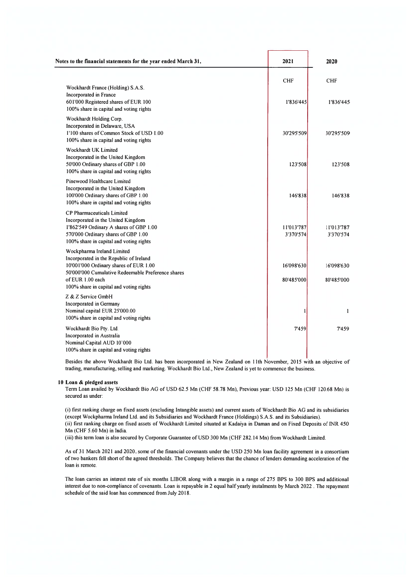|                                                                                    | Notes to the financial statements for the year ended March 31,                                                                                                                     | 2021                     | 2020                     |
|------------------------------------------------------------------------------------|------------------------------------------------------------------------------------------------------------------------------------------------------------------------------------|--------------------------|--------------------------|
|                                                                                    | Wockhardt France (Holding) S.A.S.                                                                                                                                                  | <b>CHF</b>               | <b>CHF</b>               |
| Incorporated in France                                                             | 601'000 Registered shares of EUR 100<br>100% share in capital and voting rights                                                                                                    | 1'836'445                | 1'836'445                |
| Wockhardt Holding Corp.<br>Incorporated in Delaware, USA                           | 1'100 shares of Common Stock of USD 1.00<br>100% share in capital and voting rights                                                                                                | 30'295'509               | 30'295'509               |
| Wockhardt UK Limited                                                               | Incorporated in the United Kingdom<br>50'000 Ordinary shares of GBP 1.00<br>100% share in capital and voting rights                                                                | 123'508                  | 123'508                  |
| Pinewood Healthcare Limited                                                        | Incorporated in the United Kingdom<br>100'000 Ordinary shares of GBP 1.00<br>100% share in capital and voting rights                                                               | 146'838                  | 146'838                  |
| <b>CP Pharmaceuticals Limited</b>                                                  | Incorporated in the United Kingdom<br>l'862'549 Ordinary A shares of GBP 1.00<br>570'000 Ordinary shares of GBP 1.00<br>100% share in capital and voting rights                    | 11'013'787<br>3'370'574  | 11'013'787<br>3'370'574  |
| Wockpharma Ireland Limited<br>of EUR 1.00 each                                     | Incorporated in the Republic of Ireland<br>10'001'000 Ordinary shares of EUR 1.00<br>50'000'000 Cumulative Redeemable Preference shares<br>100% share in capital and voting rights | 16'098'630<br>80'485'000 | 16'098'630<br>80'485'000 |
| Z & Z Service GmbH<br>Incorporated in Germany<br>Nominal capital EUR 25'000.00     | 100% share in capital and voting rights                                                                                                                                            |                          | 1                        |
| Wockhardt Bio Pty. Ltd.<br>Incorporated in Australia<br>Nominal Capital AUD 10'000 | 100% share in capital and voting rights                                                                                                                                            | 7'459                    | 7'459                    |

Besides the above Wockhardt Bio Ltd. has been incorporated in New Zealand on 1 lth November, 2015 with an objective of trading. manufacturing, selling and marketing. Wockhardt Bio Ltd., New Zealand is ye<sup>t</sup> to commence the business.

ı

#### 10 Loan & pledged assets

Term Loan availed by Wockhardt Bio AG of USD 62.5 Mn (CHF 58.78 Mn), Previous year: USD 125 Mn (CHF 120.68 Mn) is secured as under:

(i) first ranking charge on fixed assets (excluding Intangible assets) and current assets of Wockhardt Bio AG and its subsidiaries (except Wockpharma Ireland Ltd. and its Subsidiaries and Wockhardt France (Holdings) S.A.S. and its Subsidiaries). (ii) first ranking charge on fixed assets of Wockhardt Limited situated at Kadaiya in Daman and on Fixed Deposits of INR 450 Mn (CHF 5.60 Mn) in India.

(iii) this term loan is also secured by Corporate Guarantee ofUSD 300 Mn (CHF 282.14 Mn) from Wockhardt Limited.

As of 31 March 2021 and 2020, some of the financial covenants under the USD 250 Mn loan facility agreement in a consortium of two bankers fell short of the agreed thresholds. The Company believes that the chance of lenders demanding acceleration of the loan is remote.

The loan carries an interest rate of six months LIBOR along with <sup>a</sup> margin in <sup>a</sup> range of 275 BPS to 300 BPS and additional interest due to non-compliance of covenants. Loan is repayable in 2 equal half yearly instalments by March 2022. The repayment schedule of the said loan has commenced from July 2018.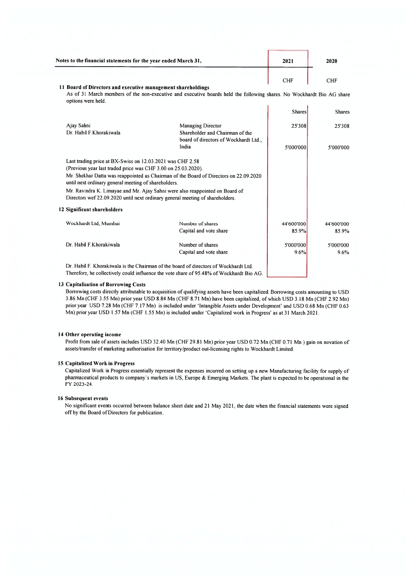| Notes to the financial statements for the year ended March 31, | 2021       | 2020       |
|----------------------------------------------------------------|------------|------------|
|                                                                | <b>CHF</b> | <b>CHF</b> |

#### 11 Board of Directors and executive managemen<sup>t</sup> shareholdings

As of 31 March members of the non-executive and executive boards held the following shares. No Wockhardt Bio AG share options were held. ï Ï

|                                                                                                                            |                                                                                                                                                                                  | <b>Shares</b> | <b>Shares</b> |
|----------------------------------------------------------------------------------------------------------------------------|----------------------------------------------------------------------------------------------------------------------------------------------------------------------------------|---------------|---------------|
| Ajay Sahni<br>Dr. Habil F.Khorakiwala                                                                                      | Managing Director<br>Shareholder and Chairman of the<br>board of directors of Wockhardt Ltd.,                                                                                    | 25'308        | 25'308        |
|                                                                                                                            | India                                                                                                                                                                            | 5'000'000     | 5'000'000     |
| Last trading price at BX-Swiss on 12.03.2021 was CHF 2.58<br>(Previous year last traded price was CHF 3.00 on 25.03.2020). |                                                                                                                                                                                  |               |               |
| until next ordinary general meeting of shareholders.                                                                       | Mr. Shekhar Datta was reappointed as Chairman of the Board of Directors on 22.09.2020                                                                                            |               |               |
| Directors wef 22.09.2020 until next ordinary general meeting of shareholders.                                              | Mr. Ravindra K. Limayae and Mr. Ajay Sahni were also reappointed on Board of                                                                                                     |               |               |
| 2 Significant shareholders                                                                                                 |                                                                                                                                                                                  |               |               |
| Wockhardt Ltd, Mumbai                                                                                                      | Number of shares                                                                                                                                                                 | 44'600'000    | 44'600'000    |
|                                                                                                                            | Capital and vote share                                                                                                                                                           | 85.9%         | 85.9%         |
| Dr. Habil F.Khorakiwala                                                                                                    | Number of shares                                                                                                                                                                 | 5'000'000     | 5'000'000     |
|                                                                                                                            | Capital and vote share                                                                                                                                                           | 9.6%          | 9.6%          |
|                                                                                                                            | Dr. Habil F. Khorakiwala is the Chairman of the board of directors of Wockhardt Ltd.<br>Therefore, he collectively could influence the vote share of 95.48% of Wockhardt Bio AG. |               |               |

#### 13 Capitalisation of Borrowing Costs

Borrowing costs directly attributable to acquisition of qualifying assets have been capitalized. Borrowing costs amounting to USD 3.86 Mn (CHF 3.55 Mn) prior year USD 8.84 Mn (CHF 8.71 Mn) have been capitalized, ofwhich USD 3.18 Mn (CHF 2.92 Mn) prior year USD 7.28 Mn (CHF 7.17 Mn) is included under 'Intangible Assets under Development' and USD 0.68 Mn (CHF 0.63 Mn) prior year USD 1.57 Mn (CHF 1.55 Mn) is included under 'Capitalized work in Progress' as at 31 March 2021.

#### 14 Other operating income

Profit from sale of assets includes USD 32.40 Mn (CHF 29.81 Mn) prior year USD 0.72 Mn (CHF 0.71 Mn) gain on novation of assets/transfer of marketing authorisation for territory/product out-licensing rights to Wockhardt Limited.

#### 15 Capitalized Work in Progress

Capitalized Work in Progress essentially represen<sup>t</sup> the expenses incurred on setting up <sup>a</sup> new Manufacturing facility for supply of pharmaceutical products to company's markets in US, Europe & Emerging Markets. The plant is expected to be operational in the FY 2023-24.

#### 16 Subsequent events

No significant events occurred between balance sheet date and <sup>21</sup> May 2021, the date when the financial statements were signed off by the Board of Directors for publication.